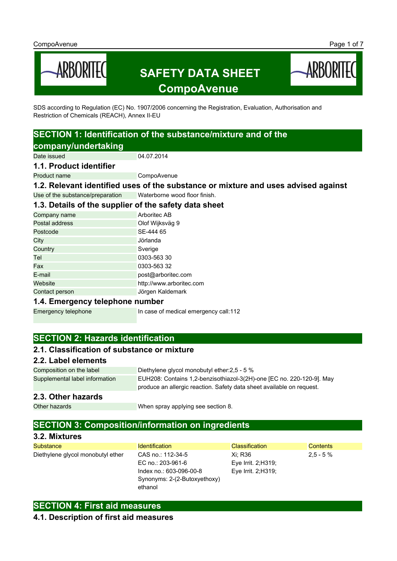

SDS according to Regulation (EC) No. 1907/2006 concerning the Registration, Evaluation, Authorisation and Restriction of Chemicals (REACH), Annex II-EU

# **SECTION 1: Identification of the substance/mixture and of the**

**company/undertaking**

Date issued 04.07.2014

## **1.1. Product identifier**

Product name CompoAvenue

**1.2. Relevant identified uses of the substance or mixture and uses advised against** Use of the substance/preparation Waterborne wood floor finish.

## **1.3. Details of the supplier of the safety data sheet**

| Company name   | Arboritec AB             |
|----------------|--------------------------|
| Postal address | Olof Wijksväg 9          |
| Postcode       | SE-444 65                |
| City           | Jörlanda                 |
| Country        | Sverige                  |
| Tel            | 0303-563 30              |
| Fax            | 0303-563 32              |
| E-mail         | post@arboritec.com       |
| Website        | http://www.arboritec.com |
| Contact person | Jörgen Kaldemark         |
|                |                          |

## **1.4. Emergency telephone number**

Emergency telephone In case of medical emergency call:112

## **SECTION 2: Hazards identification**

## **2.1. Classification of substance or mixture**

### **2.2. Label elements**

Composition on the label Diethylene glycol monobutyl ether: 2,5 - 5 % Supplemental label information EUH208: Contains 1,2-benzisothiazol-3(2H)-one [EC no. 220-120-9]. May produce an allergic reaction. Safety data sheet available on request.

## **2.3. Other hazards**

Other hazards **When spray applying see section 8.** 

## **SECTION 3: Composition/information on ingredients**

## **3.2. Mixtures**

| Substance                         | <b>Identification</b>        | <b>Classification</b> | Contents   |
|-----------------------------------|------------------------------|-----------------------|------------|
| Diethylene glycol monobutyl ether | CAS no.: 112-34-5            | Xi: R36               | $2.5 - 5%$ |
|                                   | EC no.: 203-961-6            | Eye Irrit. $2:$ H319; |            |
|                                   | Index no.: 603-096-00-8      | Eye Irrit. $2:$ H319; |            |
|                                   | Synonyms: 2-(2-Butoxyethoxy) |                       |            |
|                                   | ethanol                      |                       |            |

## **SECTION 4: First aid measures**

## **4.1. Description of first aid measures**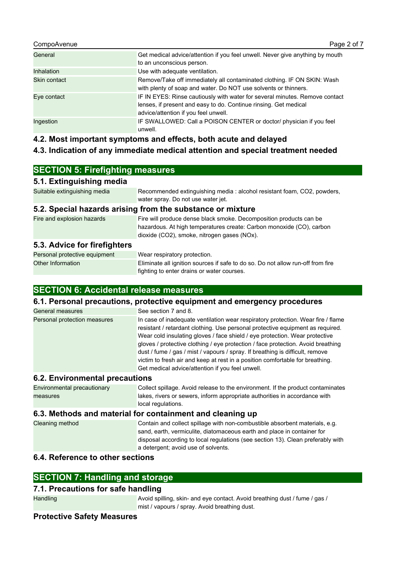#### CompoAvenue **Page 2 of 7** CompoAvenue Page 2 of 7

| General           | Get medical advice/attention if you feel unwell. Never give anything by mouth<br>to an unconscious person.                                                                              |
|-------------------|-----------------------------------------------------------------------------------------------------------------------------------------------------------------------------------------|
| <b>Inhalation</b> | Use with adequate ventilation.                                                                                                                                                          |
| Skin contact      | Remove/Take off immediately all contaminated clothing. IF ON SKIN: Wash<br>with plenty of soap and water. Do NOT use solvents or thinners.                                              |
| Eye contact       | IF IN EYES: Rinse cautiously with water for several minutes. Remove contact<br>lenses, if present and easy to do. Continue rinsing. Get medical<br>advice/attention if you feel unwell. |
| Ingestion         | IF SWALLOWED: Call a POISON CENTER or doctor/ physician if you feel<br>unwell.                                                                                                          |

**4.2. Most important symptoms and effects, both acute and delayed**

## **4.3. Indication of any immediate medical attention and special treatment needed**

## **SECTION 5: Firefighting measures**

## **5.1. Extinguishing media**

Suitable extinguishing media Recommended extinguishing media : alcohol resistant foam, CO2, powders, water spray. Do not use water jet.

## **5.2. Special hazards arising from the substance or mixture**

| Fire and explosion hazards | Fire will produce dense black smoke. Decomposition products can be   |
|----------------------------|----------------------------------------------------------------------|
|                            | hazardous. At high temperatures create: Carbon monoxide (CO), carbon |
|                            | dioxide (CO2), smoke, nitrogen gases (NOx).                          |
|                            |                                                                      |

## **5.3. Advice for firefighters**

| Personal protective equipment | Wear respiratory protection.                                                    |
|-------------------------------|---------------------------------------------------------------------------------|
| Other Information             | Eliminate all ignition sources if safe to do so. Do not allow run-off from fire |
|                               | fighting to enter drains or water courses.                                      |

## **SECTION 6: Accidental release measures**

### **6.1. Personal precautions, protective equipment and emergency procedures**

| General measures             | See section 7 and 8.                                                                                                                                                                                                                                                                                                                                                                                                                                                                                                                                        |
|------------------------------|-------------------------------------------------------------------------------------------------------------------------------------------------------------------------------------------------------------------------------------------------------------------------------------------------------------------------------------------------------------------------------------------------------------------------------------------------------------------------------------------------------------------------------------------------------------|
| Personal protection measures | In case of inadequate ventilation wear respiratory protection. Wear fire / flame<br>resistant / retardant clothing. Use personal protective equipment as required.<br>Wear cold insulating gloves / face shield / eye protection. Wear protective<br>gloves / protective clothing / eye protection / face protection. Avoid breathing<br>dust / fume / gas / mist / vapours / spray. If breathing is difficult, remove<br>victim to fresh air and keep at rest in a position comfortable for breathing.<br>Get medical advice/attention if you feel unwell. |

## **6.2. Environmental precautions**

| Environmental precautionary | Collect spillage. Avoid release to the environment. If the product contaminates |
|-----------------------------|---------------------------------------------------------------------------------|
| measures                    | lakes, rivers or sewers, inform appropriate authorities in accordance with      |
|                             | local regulations.                                                              |

## **6.3. Methods and material for containment and cleaning up**

| Cleaning method | Contain and collect spillage with non-combustible absorbent materials, e.g.<br>sand, earth, vermiculite, diatomaceous earth and place in container for |
|-----------------|--------------------------------------------------------------------------------------------------------------------------------------------------------|
|                 | disposal according to local regulations (see section 13). Clean preferably with<br>a detergent; avoid use of solvents.                                 |

## **6.4. Reference to other sections**

## **SECTION 7: Handling and storage**

## **7.1. Precautions for safe handling**

Handling **Avoid spilling, skin- and eye contact. Avoid breathing dust / fume / gas /** https://www.assett. Avoid breathing dust / fume / gas / mist / vapours / spray. Avoid breathing dust.

## **Protective Safety Measures**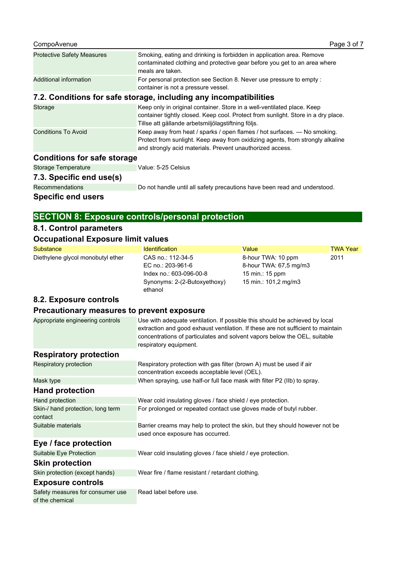| CompoAvenue                                                       | Page 3 of 7                                                                                                                                                                                                             |  |
|-------------------------------------------------------------------|-------------------------------------------------------------------------------------------------------------------------------------------------------------------------------------------------------------------------|--|
| <b>Protective Safety Measures</b>                                 | Smoking, eating and drinking is forbidden in application area. Remove<br>contaminated clothing and protective gear before you get to an area where<br>meals are taken.                                                  |  |
| Additional information                                            | For personal protection see Section 8. Never use pressure to empty :<br>container is not a pressure vessel.                                                                                                             |  |
| 7.2. Conditions for safe storage, including any incompatibilities |                                                                                                                                                                                                                         |  |
| Storage                                                           | Keep only in original container. Store in a well-ventilated place. Keep<br>container tightly closed. Keep cool. Protect from sunlight. Store in a dry place.<br>Tillse att gällande arbetsmiljölagstiftning följs.      |  |
| <b>Conditions To Avoid</b>                                        | Keep away from heat / sparks / open flames / hot surfaces. — No smoking.<br>Protect from sunlight. Keep away from oxidizing agents, from strongly alkaline<br>and strongly acid materials. Prevent unauthorized access. |  |
| <b>Conditions for safe storage</b>                                |                                                                                                                                                                                                                         |  |

| <b>Specific end users</b> |                                                                           |
|---------------------------|---------------------------------------------------------------------------|
| <b>Recommendations</b>    | Do not handle until all safety precautions have been read and understood. |
| 7.3. Specific end use(s)  |                                                                           |
| Storage Temperature       | Value: 5-25 Celsius                                                       |
|                           |                                                                           |

## **SECTION 8: Exposure controls/personal protection**

## **8.1. Control parameters**

## **Occupational Exposure limit values**

| Substance                                           | <b>Identification</b>                                                                                                                                                                                                                                                  | Value                  | <b>TWA Year</b> |
|-----------------------------------------------------|------------------------------------------------------------------------------------------------------------------------------------------------------------------------------------------------------------------------------------------------------------------------|------------------------|-----------------|
| Diethylene glycol monobutyl ether                   | CAS no.: 112-34-5                                                                                                                                                                                                                                                      | 8-hour TWA: 10 ppm     | 2011            |
|                                                     | EC no.: 203-961-6                                                                                                                                                                                                                                                      | 8-hour TWA: 67,5 mg/m3 |                 |
|                                                     | Index no.: 603-096-00-8                                                                                                                                                                                                                                                | 15 min.: 15 ppm        |                 |
|                                                     | Synonyms: 2-(2-Butoxyethoxy)<br>ethanol                                                                                                                                                                                                                                | 15 min.: 101,2 mg/m3   |                 |
| 8.2. Exposure controls                              |                                                                                                                                                                                                                                                                        |                        |                 |
| Precautionary measures to prevent exposure          |                                                                                                                                                                                                                                                                        |                        |                 |
| Appropriate engineering controls                    | Use with adequate ventilation. If possible this should be achieved by local<br>extraction and good exhaust ventilation. If these are not sufficient to maintain<br>concentrations of particulates and solvent vapors below the OEL, suitable<br>respiratory equipment. |                        |                 |
| <b>Respiratory protection</b>                       |                                                                                                                                                                                                                                                                        |                        |                 |
| Respiratory protection                              | Respiratory protection with gas filter (brown A) must be used if air<br>concentration exceeds acceptable level (OEL).                                                                                                                                                  |                        |                 |
| Mask type                                           | When spraying, use half-or full face mask with filter P2 (IIb) to spray.                                                                                                                                                                                               |                        |                 |
| <b>Hand protection</b>                              |                                                                                                                                                                                                                                                                        |                        |                 |
| Hand protection                                     | Wear cold insulating gloves / face shield / eye protection.                                                                                                                                                                                                            |                        |                 |
| Skin-/ hand protection, long term<br>contact        | For prolonged or repeated contact use gloves made of butyl rubber.                                                                                                                                                                                                     |                        |                 |
| Suitable materials                                  | Barrier creams may help to protect the skin, but they should however not be<br>used once exposure has occurred.                                                                                                                                                        |                        |                 |
| Eye / face protection                               |                                                                                                                                                                                                                                                                        |                        |                 |
| Suitable Eye Protection                             | Wear cold insulating gloves / face shield / eye protection.                                                                                                                                                                                                            |                        |                 |
| <b>Skin protection</b>                              |                                                                                                                                                                                                                                                                        |                        |                 |
| Skin protection (except hands)                      | Wear fire / flame resistant / retardant clothing.                                                                                                                                                                                                                      |                        |                 |
| <b>Exposure controls</b>                            |                                                                                                                                                                                                                                                                        |                        |                 |
| Safety measures for consumer use<br>of the chemical | Read label before use.                                                                                                                                                                                                                                                 |                        |                 |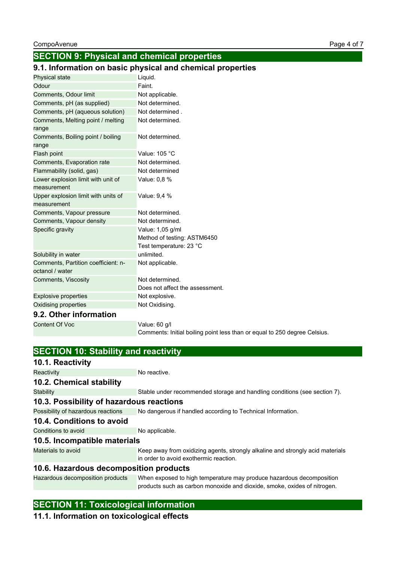## **SECTION 9: Physical and chemical properties**

## **9.1. Information on basic physical and chemical properties**

| Physical state                                         | Liquid.                                                                   |
|--------------------------------------------------------|---------------------------------------------------------------------------|
| Odour                                                  | Faint.                                                                    |
| Comments, Odour limit                                  | Not applicable.                                                           |
| Comments, pH (as supplied)                             | Not determined.                                                           |
| Comments, pH (aqueous solution)                        | Not determined.                                                           |
| Comments, Melting point / melting<br>range             | Not determined.                                                           |
| Comments, Boiling point / boiling<br>range             | Not determined.                                                           |
| Flash point                                            | Value: 105 °C                                                             |
| Comments, Evaporation rate                             | Not determined.                                                           |
| Flammability (solid, gas)                              | Not determined                                                            |
| Lower explosion limit with unit of                     | Value: 0,8 %                                                              |
| measurement                                            |                                                                           |
| Upper explosion limit with units of<br>measurement     | Value: 9,4 %                                                              |
| Comments, Vapour pressure                              | Not determined.                                                           |
| Comments, Vapour density                               | Not determined.                                                           |
| Specific gravity                                       | Value: 1,05 g/ml                                                          |
|                                                        | Method of testing: ASTM6450                                               |
|                                                        | Test temperature: 23 °C                                                   |
| Solubility in water                                    | unlimited.                                                                |
| Comments, Partition coefficient: n-<br>octanol / water | Not applicable.                                                           |
| Comments, Viscosity                                    | Not determined.                                                           |
|                                                        | Does not affect the assessment.                                           |
| <b>Explosive properties</b>                            | Not explosive.                                                            |
| Oxidising properties                                   | Not Oxidising.                                                            |
| 9.2. Other information                                 |                                                                           |
| <b>Content Of Voc</b>                                  | Value: 60 g/l                                                             |
|                                                        | Comments: Initial boiling point less than or equal to 250 degree Celsius. |

| <b>SECTION 10: Stability and reactivity</b> |                                                                                                                          |
|---------------------------------------------|--------------------------------------------------------------------------------------------------------------------------|
| 10.1. Reactivity                            |                                                                                                                          |
| Reactivity                                  | No reactive.                                                                                                             |
| 10.2. Chemical stability                    |                                                                                                                          |
| Stability                                   | Stable under recommended storage and handling conditions (see section 7).                                                |
| 10.3. Possibility of hazardous reactions    |                                                                                                                          |
| Possibility of hazardous reactions          | No dangerous if handled according to Technical Information.                                                              |
| 10.4. Conditions to avoid                   |                                                                                                                          |
| Conditions to avoid                         | No applicable.                                                                                                           |
| 10.5. Incompatible materials                |                                                                                                                          |
| Materials to avoid                          | Keep away from oxidizing agents, strongly alkaline and strongly acid materials<br>in order to avoid exothermic reaction. |
| 10.6. Hazardous decomposition products      |                                                                                                                          |
| Hazardous decomposition products            | When exposed to high temperature may produce hazardous decomposition                                                     |

products such as carbon monoxide and dioxide, smoke, oxides of nitrogen.

## **SECTION 11: Toxicological information**

## **11.1. Information on toxicological effects**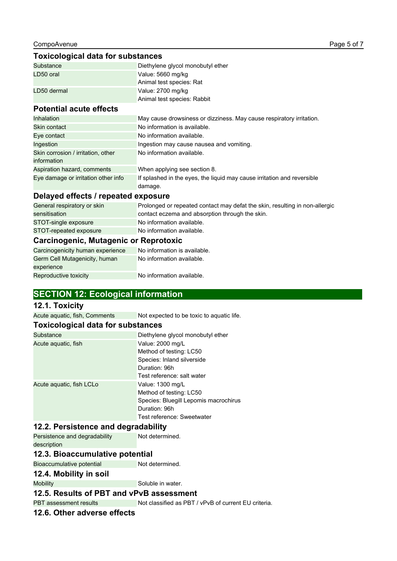## **Toxicological data for substances**

| Substance   | Diethylene glycol monobutyl ether |
|-------------|-----------------------------------|
| LD50 oral   | Value: 5660 mg/kg                 |
|             | Animal test species: Rat          |
| LD50 dermal | Value: 2700 mg/kg                 |
|             | Animal test species: Rabbit       |

## **Potential acute effects**

| <b>Inhalation</b>                   | May cause drowsiness or dizziness. May cause respiratory irritation.               |
|-------------------------------------|------------------------------------------------------------------------------------|
| Skin contact                        | No information is available.                                                       |
| Eye contact                         | No information available.                                                          |
| Ingestion                           | Ingestion may cause nausea and vomiting.                                           |
| Skin corrosion / irritation, other  | No information available.                                                          |
| information                         |                                                                                    |
| Aspiration hazard, comments         | When applying see section 8.                                                       |
| Eye damage or irritation other info | If splashed in the eyes, the liquid may cause irritation and reversible<br>damage. |

## **Delayed effects / repeated exposure**

| General respiratory or skin           | Prolonged or repeated contact may defat the skin, resulting in non-allergic |
|---------------------------------------|-----------------------------------------------------------------------------|
| sensitisation                         | contact eczema and absorption through the skin.                             |
| STOT-single exposure                  | No information available.                                                   |
| STOT-repeated exposure                | No information available.                                                   |
| Carcinogenic, Mutagenic or Reprotoxic |                                                                             |
| Carcinogenicity human experience      | No information is available.                                                |

#### Carcinogenicity human experience No information is available. Germ Cell Mutagenicity, human experience No information available.

Reproductive toxicity No information available.

## **SECTION 12: Ecological information**

## **12.1. Toxicity**

Acute aquatic, fish, Comments Not expected to be toxic to aquatic life.

#### **Toxicological data for substances**

| Substance                | Diethylene glycol monobutyl ether     |
|--------------------------|---------------------------------------|
| Acute aquatic, fish      | Value: 2000 mg/L                      |
|                          | Method of testing: LC50               |
|                          | Species: Inland silverside            |
|                          | Duration: 96h                         |
|                          | Test reference: salt water            |
| Acute aguatic, fish LCLo | Value: 1300 mg/L                      |
|                          | Method of testing: LC50               |
|                          | Species: Bluegill Lepomis macrochirus |
|                          | Duration: 96h                         |
|                          | Test reference: Sweetwater            |

### **12.2. Persistence and degradability**

Persistence and degradability description Not determined.

## **12.3. Bioaccumulative potential**

Bioaccumulative potential Not determined.

#### **12.4. Mobility in soil**

Mobility Soluble in water.

## **12.5. Results of PBT and vPvB assessment**

PBT assessment results Not classified as PBT / vPvB of current EU criteria.

## **12.6. Other adverse effects**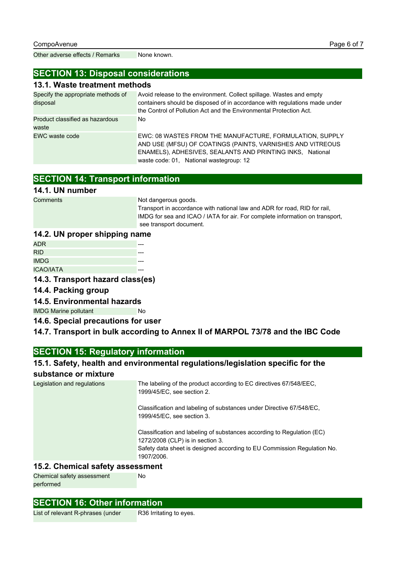Other adverse effects / Remarks None known.

## **SECTION 13: Disposal considerations**

## **13.1. Waste treatment methods**

| Specify the appropriate methods of<br>disposal | Avoid release to the environment. Collect spillage. Wastes and empty<br>containers should be disposed of in accordance with regulations made under<br>the Control of Pollution Act and the Environmental Protection Act.       |
|------------------------------------------------|--------------------------------------------------------------------------------------------------------------------------------------------------------------------------------------------------------------------------------|
| Product classified as hazardous<br>waste       | No.                                                                                                                                                                                                                            |
| EWC waste code                                 | EWC: 08 WASTES FROM THE MANUFACTURE, FORMULATION, SUPPLY<br>AND USE (MFSU) OF COATINGS (PAINTS, VARNISHES AND VITREOUS<br>ENAMELS), ADHESIVES, SEALANTS AND PRINTING INKS, National<br>waste code: 01, National wastegroup: 12 |

## **SECTION 14: Transport information**

## **14.1. UN number**

Comments Not dangerous goods.

Transport in accordance with national law and ADR for road, RID for rail, IMDG for sea and ICAO / IATA for air. For complete information on transport, see transport document.

## **14.2. UN proper shipping name**

| ADR.             |  |
|------------------|--|
| <b>RID</b>       |  |
| <b>IMDG</b>      |  |
| <b>ICAO/IATA</b> |  |

**14.3. Transport hazard class(es)**

## **14.4. Packing group**

**14.5. Environmental hazards**

IMDG Marine pollutant No

**14.6. Special precautions for user**

## **14.7. Transport in bulk according to Annex II of MARPOL 73/78 and the IBC Code**

## **SECTION 15: Regulatory information**

## **15.1. Safety, health and environmental regulations/legislation specific for the**

## **substance or mixture**

| Legislation and regulations | The labeling of the product according to EC directives 67/548/EEC,<br>1999/45/EC, see section 2.                                                                                                    |
|-----------------------------|-----------------------------------------------------------------------------------------------------------------------------------------------------------------------------------------------------|
|                             | Classification and labeling of substances under Directive 67/548/EC.<br>1999/45/EC, see section 3.                                                                                                  |
|                             | Classification and labeling of substances according to Regulation (EC)<br>1272/2008 (CLP) is in section 3.<br>Safety data sheet is designed according to EU Commission Regulation No.<br>1907/2006. |

## **15.2. Chemical safety assessment**

Chemical safety assessment performed

## **SECTION 16: Other information**

List of relevant R-phrases (under R36 Irritating to eyes.

No